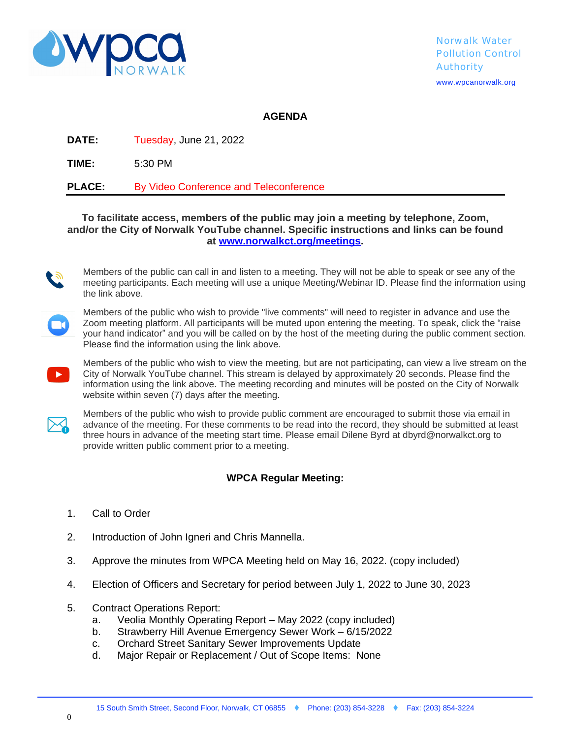

## **AGENDA**

**DATE:** Tuesday, June 21, 2022

**TIME:** 5:30 PM

**PLACE:** By Video Conference and Teleconference

## **To facilitate access, members of the public may join a meeting by telephone, Zoom, and/or the City of Norwalk YouTube channel. Specific instructions and links can be found at [www.norwalkct.org/meetings.](file://C:\\Users\\rkolb\\AppData\\Local\\Microsoft\\Windows\\INetCache\\Content.Outlook\\AppData\\Local\\Microsoft\\Windows\\INetCache\\dbyrd\\AppData\\Local\\Microsoft\\Windows\\rkolb\\AppData\\Local\\Microsoft\\Windows\\Temporary%20Internet%20Files\\Content.Outlook\\VS1NXZ5S\\www.norwalkct.org\\meetings)**



Members of the public can call in and listen to a meeting. They will not be able to speak or see any of the meeting participants. Each meeting will use a unique Meeting/Webinar ID. Please find the information using the link above.



Members of the public who wish to provide "live comments" will need to register in advance and use the Zoom meeting platform. All participants will be muted upon entering the meeting. To speak, click the "raise your hand indicator" and you will be called on by the host of the meeting during the public comment section. Please find the information using the link above.



Members of the public who wish to view the meeting, but are not participating, can view a live stream on the City of Norwalk YouTube channel. This stream is delayed by approximately 20 seconds. Please find the information using the link above. The meeting recording and minutes will be posted on the City of Norwalk website within seven (7) days after the meeting.



Members of the public who wish to provide public comment are encouraged to submit those via email in advance of the meeting. For these comments to be read into the record, they should be submitted at least three hours in advance of the meeting start time. Please email Dilene Byrd at dbyrd@norwalkct.org to provide written public comment prior to a meeting.

## **WPCA Regular Meeting:**

- 1. Call to Order
- 2. Introduction of John Igneri and Chris Mannella.
- 3. Approve the minutes from WPCA Meeting held on May 16, 2022. (copy included)
- 4. Election of Officers and Secretary for period between July 1, 2022 to June 30, 2023
- 5. Contract Operations Report:
	- a. Veolia Monthly Operating Report May 2022 (copy included)
	- b. Strawberry Hill Avenue Emergency Sewer Work 6/15/2022
	- c. Orchard Street Sanitary Sewer Improvements Update
	- d. Major Repair or Replacement / Out of Scope Items: None